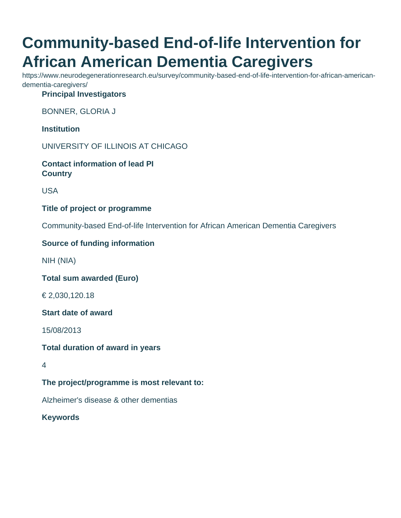# **Community-based End-of-life Intervention for African American Dementia Caregivers**

https://www.neurodegenerationresearch.eu/survey/community-based-end-of-life-intervention-for-african-americandementia-caregivers/

**Principal Investigators**

BONNER, GLORIA J

**Institution**

UNIVERSITY OF ILLINOIS AT CHICAGO

**Contact information of lead PI Country**

USA

## **Title of project or programme**

Community-based End-of-life Intervention for African American Dementia Caregivers

# **Source of funding information**

NIH (NIA)

**Total sum awarded (Euro)**

€ 2,030,120.18

**Start date of award**

15/08/2013

**Total duration of award in years**

4

**The project/programme is most relevant to:**

Alzheimer's disease & other dementias

**Keywords**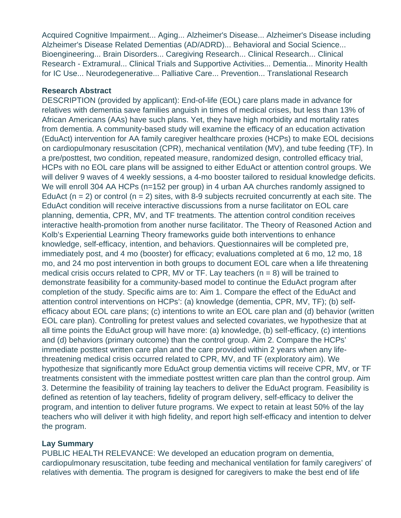Acquired Cognitive Impairment... Aging... Alzheimer's Disease... Alzheimer's Disease including Alzheimer's Disease Related Dementias (AD/ADRD)... Behavioral and Social Science... Bioengineering... Brain Disorders... Caregiving Research... Clinical Research... Clinical Research - Extramural... Clinical Trials and Supportive Activities... Dementia... Minority Health for IC Use... Neurodegenerative... Palliative Care... Prevention... Translational Research

#### **Research Abstract**

DESCRIPTION (provided by applicant): End-of-life (EOL) care plans made in advance for relatives with dementia save families anguish in times of medical crises, but less than 13% of African Americans (AAs) have such plans. Yet, they have high morbidity and mortality rates from dementia. A community-based study will examine the efficacy of an education activation (EduAct) intervention for AA family caregiver healthcare proxies (HCPs) to make EOL decisions on cardiopulmonary resuscitation (CPR), mechanical ventilation (MV), and tube feeding (TF). In a pre/posttest, two condition, repeated measure, randomized design, controlled efficacy trial, HCPs with no EOL care plans will be assigned to either EduAct or attention control groups. We will deliver 9 waves of 4 weekly sessions, a 4-mo booster tailored to residual knowledge deficits. We will enroll 304 AA HCPs (n=152 per group) in 4 urban AA churches randomly assigned to EduAct  $(n = 2)$  or control  $(n = 2)$  sites, with 8-9 subjects recruited concurrently at each site. The EduAct condition will receive interactive discussions from a nurse facilitator on EOL care planning, dementia, CPR, MV, and TF treatments. The attention control condition receives interactive health-promotion from another nurse facilitator. The Theory of Reasoned Action and Kolb's Experiential Learning Theory frameworks guide both interventions to enhance knowledge, self-efficacy, intention, and behaviors. Questionnaires will be completed pre, immediately post, and 4 mo (booster) for efficacy; evaluations completed at 6 mo, 12 mo, 18 mo, and 24 mo post intervention in both groups to document EOL care when a life threatening medical crisis occurs related to CPR, MV or TF. Lay teachers ( $n = 8$ ) will be trained to demonstrate feasibility for a community-based model to continue the EduAct program after completion of the study. Specific aims are to: Aim 1. Compare the effect of the EduAct and attention control interventions on HCPs': (a) knowledge (dementia, CPR, MV, TF); (b) selfefficacy about EOL care plans; (c) intentions to write an EOL care plan and (d) behavior (written EOL care plan). Controlling for pretest values and selected covariates, we hypothesize that at all time points the EduAct group will have more: (a) knowledge, (b) self-efficacy, (c) intentions and (d) behaviors (primary outcome) than the control group. Aim 2. Compare the HCPs' immediate posttest written care plan and the care provided within 2 years when any lifethreatening medical crisis occurred related to CPR, MV, and TF (exploratory aim). We hypothesize that significantly more EduAct group dementia victims will receive CPR, MV, or TF treatments consistent with the immediate posttest written care plan than the control group. Aim 3. Determine the feasibility of training lay teachers to deliver the EduAct program. Feasibility is defined as retention of lay teachers, fidelity of program delivery, self-efficacy to deliver the program, and intention to deliver future programs. We expect to retain at least 50% of the lay teachers who will deliver it with high fidelity, and report high self-efficacy and intention to delver the program.

## **Lay Summary**

PUBLIC HEALTH RELEVANCE: We developed an education program on dementia, cardiopulmonary resuscitation, tube feeding and mechanical ventilation for family caregivers' of relatives with dementia. The program is designed for caregivers to make the best end of life